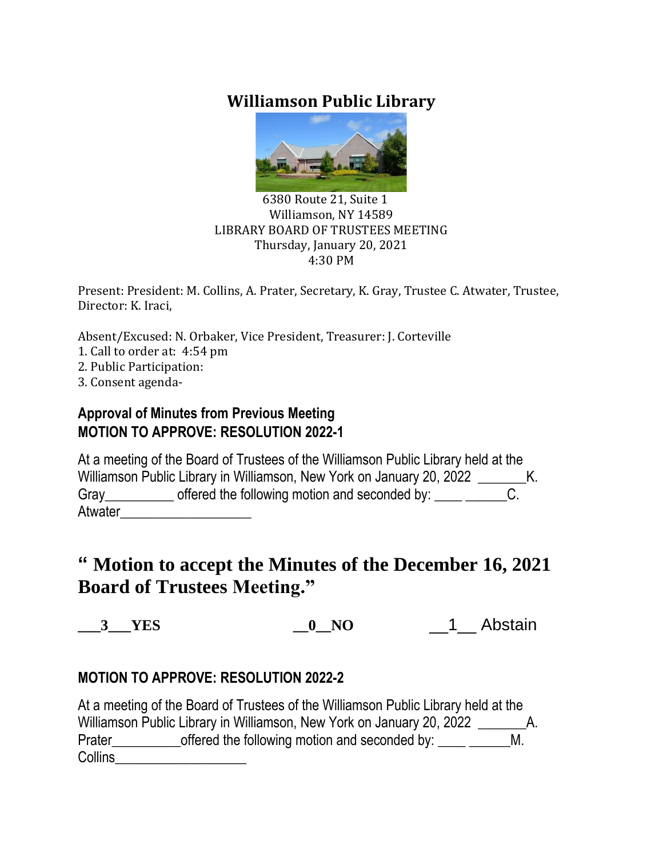# **Williamson Public Library**



#### 6380 Route 21, Suite 1 Williamson, NY 14589 LIBRARY BOARD OF TRUSTEES MEETING Thursday, January 20, 2021 4:30 PM

Present: President: M. Collins, A. Prater, Secretary, K. Gray, Trustee C. Atwater, Trustee, Director: K. Iraci,

Absent/Excused: N. Orbaker, Vice President, Treasurer: J. Corteville 1. Call to order at: 4:54 pm

- 2. Public Participation:
- 3. Consent agenda-

### **Approval of Minutes from Previous Meeting MOTION TO APPROVE: RESOLUTION 2022-1**

At a meeting of the Board of Trustees of the Williamson Public Library held at the Williamson Public Library in Williamson, New York on January 20, 2022 \_\_\_\_\_\_\_\_\_ K. Gray\_\_\_\_\_\_\_\_\_\_\_ offered the following motion and seconded by: \_\_\_\_ \_\_\_ Atwater

# **" Motion to accept the Minutes of the December 16, 2021 Board of Trustees Meeting."**

**\_\_\_3\_\_\_YES \_\_0\_\_NO** \_\_1\_\_ Abstain

### **MOTION TO APPROVE: RESOLUTION 2022-2**

At a meeting of the Board of Trustees of the Williamson Public Library held at the Williamson Public Library in Williamson, New York on January 20, 2022 \_\_\_\_\_\_\_\_\_ A. Prater\_\_\_\_\_\_\_\_\_\_\_\_offered the following motion and seconded by: \_\_\_\_ \_\_\_\_\_ Collins\_\_\_\_\_\_\_\_\_\_\_\_\_\_\_\_\_\_\_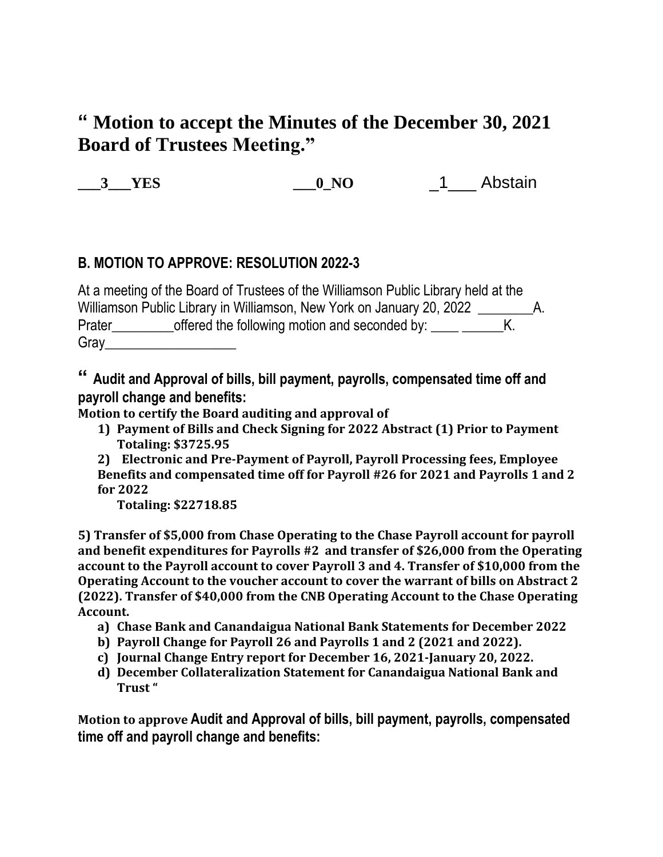# **" Motion to accept the Minutes of the December 30, 2021 Board of Trustees Meeting."**

**\_\_\_3\_\_\_YES \_\_\_0\_NO** \_1\_\_\_ Abstain

### **B. MOTION TO APPROVE: RESOLUTION 2022-3**

At a meeting of the Board of Trustees of the Williamson Public Library held at the Williamson Public Library in Williamson, New York on January 20, 2022 \_\_\_\_\_\_\_\_\_\_\_ Prater\_\_\_\_\_\_\_\_\_\_offered the following motion and seconded by: \_\_\_\_ \_\_\_\_\_\_\_K. Gray\_\_\_\_\_\_\_\_\_\_\_\_\_\_\_\_\_\_\_

**" Audit and Approval of bills, bill payment, payrolls, compensated time off and payroll change and benefits:**

**Motion to certify the Board auditing and approval of** 

**1) Payment of Bills and Check Signing for 2022 Abstract (1) Prior to Payment Totaling: \$3725.95**

**2) Electronic and Pre-Payment of Payroll, Payroll Processing fees, Employee Benefits and compensated time off for Payroll #26 for 2021 and Payrolls 1 and 2 for 2022**

**Totaling: \$22718.85**

**5) Transfer of \$5,000 from Chase Operating to the Chase Payroll account for payroll and benefit expenditures for Payrolls #2 and transfer of \$26,000 from the Operating account to the Payroll account to cover Payroll 3 and 4. Transfer of \$10,000 from the Operating Account to the voucher account to cover the warrant of bills on Abstract 2 (2022). Transfer of \$40,000 from the CNB Operating Account to the Chase Operating Account.**

- **a) Chase Bank and Canandaigua National Bank Statements for December 2022**
- **b) Payroll Change for Payroll 26 and Payrolls 1 and 2 (2021 and 2022).**
- **c) Journal Change Entry report for December 16, 2021-January 20, 2022.**
- **d) December Collateralization Statement for Canandaigua National Bank and Trust "**

**Motion to approve Audit and Approval of bills, bill payment, payrolls, compensated time off and payroll change and benefits:**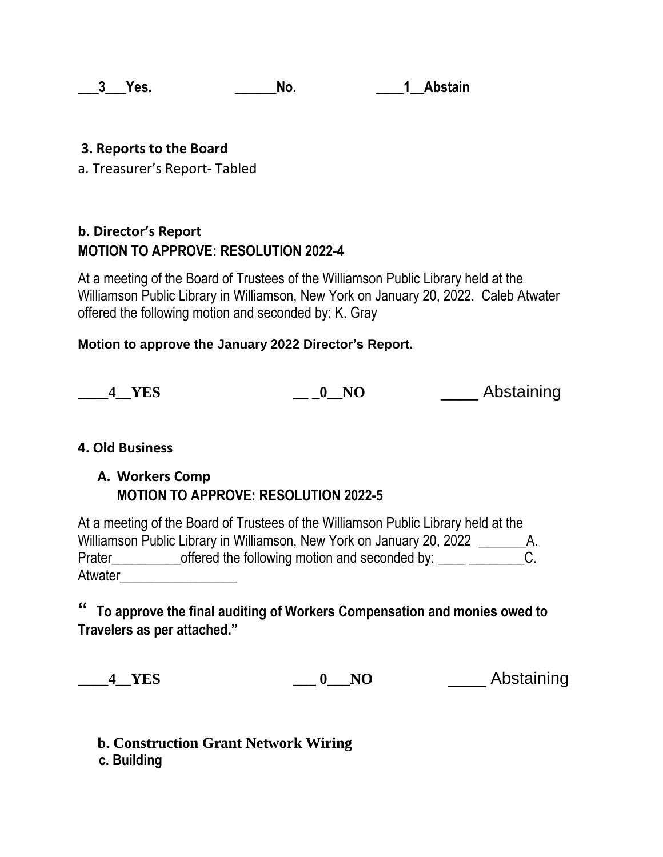#### **a 1 Abstain 1 Abstain**

#### **3. Reports to the Board**

a. Treasurer's Report- Tabled

## **b. Director's Report MOTION TO APPROVE: RESOLUTION 2022-4**

At a meeting of the Board of Trustees of the Williamson Public Library held at the Williamson Public Library in Williamson, New York on January 20, 2022. Caleb Atwater offered the following motion and seconded by: K. Gray

#### **Motion to approve the January 2022 Director's Report.**

| <b>YES</b> | NO | Abstaining |
|------------|----|------------|
|            |    |            |

#### **4. Old Business**

#### **A. Workers Comp MOTION TO APPROVE: RESOLUTION 2022-5**

At a meeting of the Board of Trustees of the Williamson Public Library held at the Williamson Public Library in Williamson, New York on January 20, 2022 A. Prater\_\_\_\_\_\_\_\_\_\_\_\_offered the following motion and seconded by: \_\_\_\_ \_\_\_\_\_\_\_\_\_\_C. Atwater

### **" To approve the final auditing of Workers Compensation and monies owed to Travelers as per attached."**

**\_\_\_\_4\_\_YES \_\_\_ 0\_\_\_NO** \_\_\_\_ Abstaining

**b. Construction Grant Network Wiring c. Building**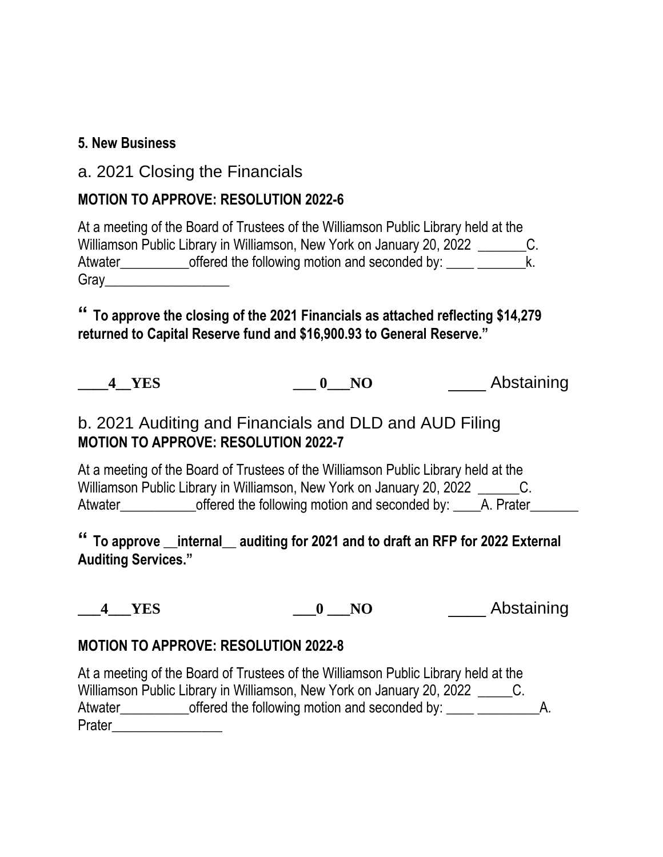### **5. New Business**

## a. 2021 Closing the Financials

### **MOTION TO APPROVE: RESOLUTION 2022-6**

At a meeting of the Board of Trustees of the Williamson Public Library held at the Williamson Public Library in Williamson, New York on January 20, 2022 C. Atwater\_\_\_\_\_\_\_\_\_\_\_\_offered the following motion and seconded by: \_\_\_\_ \_\_\_\_\_\_\_\_\_k. Gray\_\_\_\_\_\_\_\_\_\_\_\_\_\_\_\_\_\_

**" To approve the closing of the 2021 Financials as attached reflecting \$14,279 returned to Capital Reserve fund and \$16,900.93 to General Reserve."**

**\_\_\_\_4\_\_YES \_\_\_ 0\_\_\_NO** \_\_\_\_ Abstaining

# b. 2021 Auditing and Financials and DLD and AUD Filing **MOTION TO APPROVE: RESOLUTION 2022-7**

At a meeting of the Board of Trustees of the Williamson Public Library held at the Williamson Public Library in Williamson, New York on January 20, 2022 C. Atwater entity offered the following motion and seconded by: A. Prater

**" To approve \_\_internal\_\_ auditing for 2021 and to draft an RFP for 2022 External Auditing Services."**

**\_\_\_4\_\_\_YES \_\_\_0 \_\_\_NO** \_\_\_\_ Abstaining

#### **MOTION TO APPROVE: RESOLUTION 2022-8**

At a meeting of the Board of Trustees of the Williamson Public Library held at the Williamson Public Library in Williamson, New York on January 20, 2022 C. Atwater offered the following motion and seconded by: A. Prater\_\_\_\_\_\_\_\_\_\_\_\_\_\_\_\_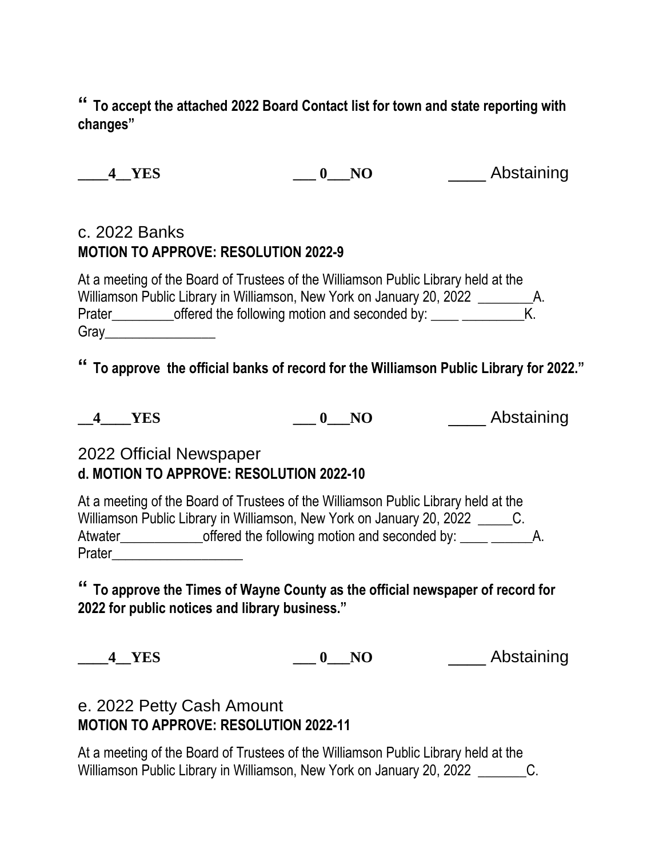**" To accept the attached 2022 Board Contact list for town and state reporting with changes"**

**\_\_\_\_4\_\_YES \_\_\_ 0\_\_\_NO** \_\_\_\_ Abstaining

# c. 2022 Banks **MOTION TO APPROVE: RESOLUTION 2022-9**

At a meeting of the Board of Trustees of the Williamson Public Library held at the Williamson Public Library in Williamson, New York on January 20, 2022 \_\_\_\_\_\_\_\_\_\_\_ Prater\_\_\_\_\_\_\_\_\_\_offered the following motion and seconded by: \_\_\_\_ \_\_\_\_\_\_\_\_\_\_\_K. Gray\_\_\_\_\_\_\_\_\_\_\_\_\_\_\_\_

**" To approve the official banks of record for the Williamson Public Library for 2022."**

**\_\_4\_\_\_\_YES \_\_\_ 0\_\_\_NO** \_\_\_\_ Abstaining

# 2022 Official Newspaper **d. MOTION TO APPROVE: RESOLUTION 2022-10**

At a meeting of the Board of Trustees of the Williamson Public Library held at the Williamson Public Library in Williamson, New York on January 20, 2022 C. Atwater offered the following motion and seconded by: \_\_\_\_ \_\_\_\_\_\_\_\_\_\_\_\_\_\_\_\_\_\_\_\_\_ Prater\_\_\_\_\_\_\_\_\_\_\_\_\_\_\_\_\_\_\_

**" To approve the Times of Wayne County as the official newspaper of record for 2022 for public notices and library business."**

**\_\_\_\_4\_\_YES \_\_\_ 0\_\_\_NO** \_\_\_\_ Abstaining

# e. 2022 Petty Cash Amount **MOTION TO APPROVE: RESOLUTION 2022-11**

At a meeting of the Board of Trustees of the Williamson Public Library held at the Williamson Public Library in Williamson, New York on January 20, 2022 C.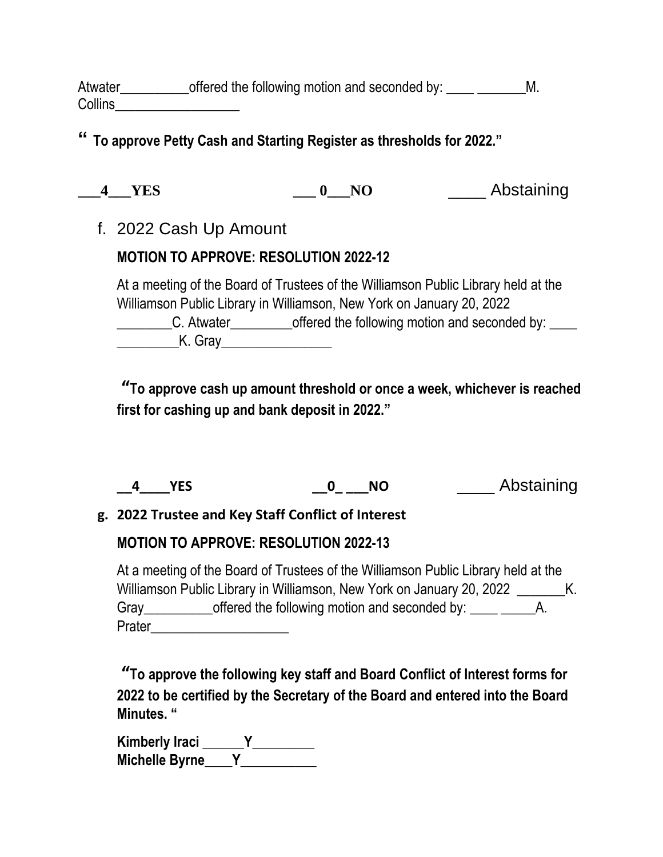Atwater offered the following motion and seconded by: M. Collins\_\_\_\_\_\_\_\_\_\_\_\_\_\_\_\_\_\_

# **" To approve Petty Cash and Starting Register as thresholds for 2022."**

| ۰. |
|----|
|    |

**\_\_\_4\_\_\_YES \_\_\_ 0\_\_\_NO** \_\_\_\_ Abstaining

f. 2022 Cash Up Amount

# **MOTION TO APPROVE: RESOLUTION 2022-12**

At a meeting of the Board of Trustees of the Williamson Public Library held at the Williamson Public Library in Williamson, New York on January 20, 2022 L. Atwater\_\_\_\_\_\_\_\_\_offered the following motion and seconded by: K. Gray

**"To approve cash up amount threshold or once a week, whichever is reached first for cashing up and bank deposit in 2022."**

| ΝC<br><b>YES</b> | Abstaining |
|------------------|------------|
|------------------|------------|

### **g. 2022 Trustee and Key Staff Conflict of Interest**

# **MOTION TO APPROVE: RESOLUTION 2022-13**

At a meeting of the Board of Trustees of the Williamson Public Library held at the Williamson Public Library in Williamson, New York on January 20, 2022 K. Gray cffered the following motion and seconded by: A. Prater\_\_\_\_\_\_\_\_\_\_\_\_\_\_\_\_\_\_\_\_

**"To approve the following key staff and Board Conflict of Interest forms for 2022 to be certified by the Secretary of the Board and entered into the Board Minutes. "**

**Kimberly Iraci \_\_\_\_\_\_Y\_\_\_\_\_\_\_\_\_ Michelle Byrne\_\_\_\_Y\_\_\_\_\_\_\_\_\_\_\_**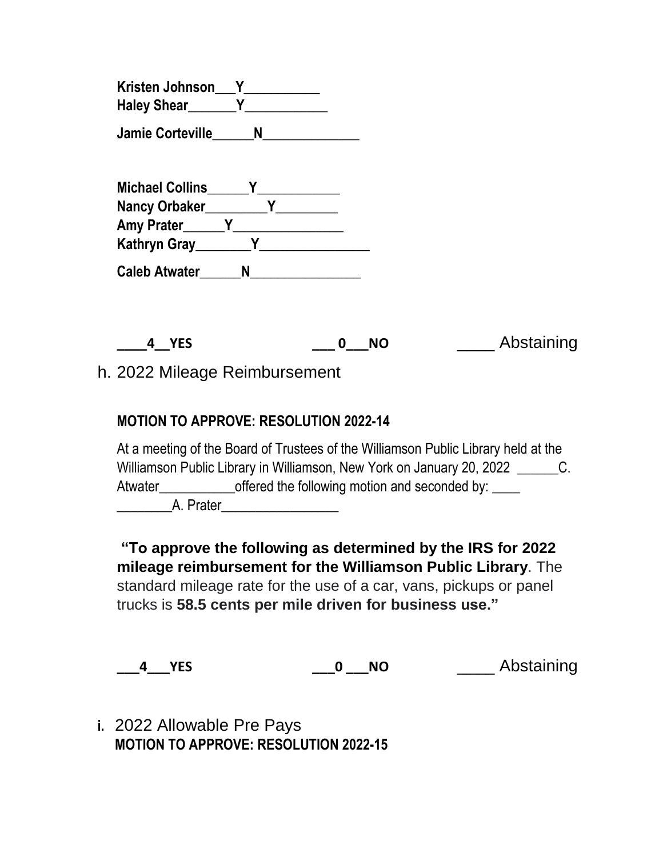| <b>Kristen Johnson</b> |  |
|------------------------|--|
| <b>Haley Shear</b>     |  |

**Jamie Corteville\_\_\_\_\_\_N\_\_\_\_\_\_\_\_\_\_\_\_\_\_**

| <b>Michael Collins</b> |   |  |
|------------------------|---|--|
| Nancy Orbaker          |   |  |
| <b>Amy Prater</b>      |   |  |
| <b>Kathryn Gray</b>    |   |  |
| <b>Caleb Atwater</b>   | N |  |

**\_\_\_\_4\_\_YES \_\_\_ 0\_\_\_NO** \_\_\_\_ Abstaining

h. 2022 Mileage Reimbursement

### **MOTION TO APPROVE: RESOLUTION 2022-14**

At a meeting of the Board of Trustees of the Williamson Public Library held at the Williamson Public Library in Williamson, New York on January 20, 2022 \_\_\_\_\_\_\_\_C. Atwater\_\_\_\_\_\_\_\_\_\_\_\_\_\_\_offered the following motion and seconded by: \_\_\_\_\_ \_\_\_\_\_\_\_\_A. Prater\_\_\_\_\_\_\_\_\_\_\_\_\_\_\_\_\_

**"To approve the following as determined by the IRS for 2022 mileage reimbursement for the Williamson Public Library**. The

standard mileage rate for the use of a car, vans, pickups or panel trucks is **58.5 cents per mile driven for business use."**

**\_\_\_4\_\_\_YES \_\_\_0 \_\_\_NO** \_\_\_\_ Abstaining

**i.** 2022 Allowable Pre Pays **MOTION TO APPROVE: RESOLUTION 2022-15**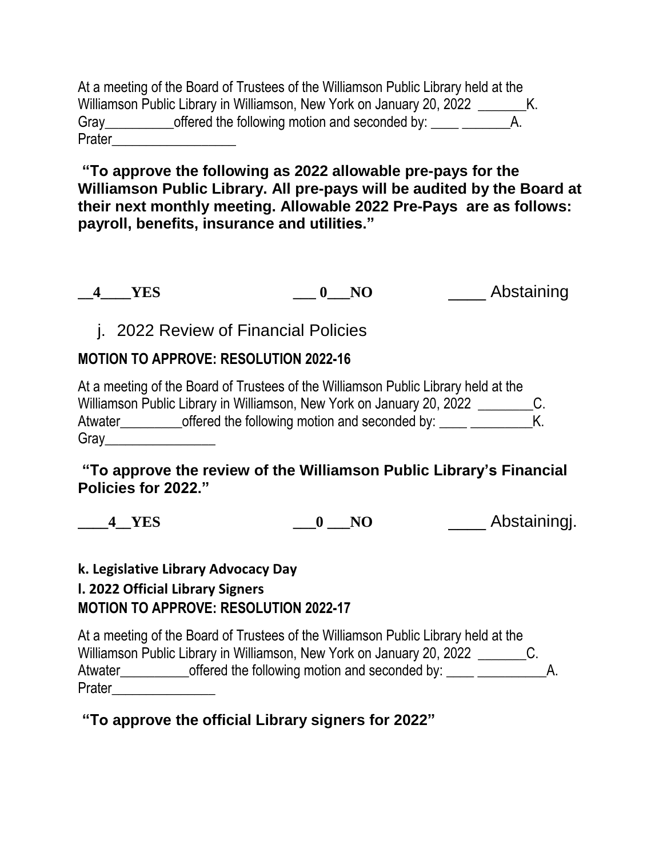At a meeting of the Board of Trustees of the Williamson Public Library held at the Williamson Public Library in Williamson, New York on January 20, 2022 K. Gray\_\_\_\_\_\_\_\_\_\_\_\_offered the following motion and seconded by: \_\_\_\_ \_\_\_\_\_\_\_\_ Prater\_\_\_\_\_\_\_\_\_\_\_\_\_\_\_\_\_\_

**"To approve the following as 2022 allowable pre-pays for the Williamson Public Library. All pre-pays will be audited by the Board at their next monthly meeting. Allowable 2022 Pre-Pays are as follows: payroll, benefits, insurance and utilities."**

**\_\_4\_\_\_\_YES \_\_\_ 0\_\_\_NO** \_\_\_\_ Abstaining

j. 2022 Review of Financial Policies

### **MOTION TO APPROVE: RESOLUTION 2022-16**

At a meeting of the Board of Trustees of the Williamson Public Library held at the Williamson Public Library in Williamson, New York on January 20, 2022 \_\_\_\_\_\_\_\_\_\_C. Atwater offered the following motion and seconded by: \_\_\_\_ \_\_\_\_\_\_\_\_\_\_\_\_\_\_\_\_\_\_\_\_\_\_ Gray\_\_\_\_\_\_\_\_\_\_\_\_\_\_\_\_

**"To approve the review of the Williamson Public Library's Financial Policies for 2022."**

**\_\_\_\_4\_\_YES \_\_\_0 \_\_\_NO** \_\_\_\_ Abstainingj.

#### **k. Legislative Library Advocacy Day l. 2022 Official Library Signers MOTION TO APPROVE: RESOLUTION 2022-17**

At a meeting of the Board of Trustees of the Williamson Public Library held at the Williamson Public Library in Williamson, New York on January 20, 2022 \_\_\_\_\_\_\_\_\_\_C. Atwater\_\_\_\_\_\_\_\_\_\_offered the following motion and seconded by: \_\_\_\_ \_\_\_\_\_\_\_\_\_\_A. Prater\_\_\_\_\_\_\_\_\_\_\_\_\_\_\_

### **"To approve the official Library signers for 2022"**